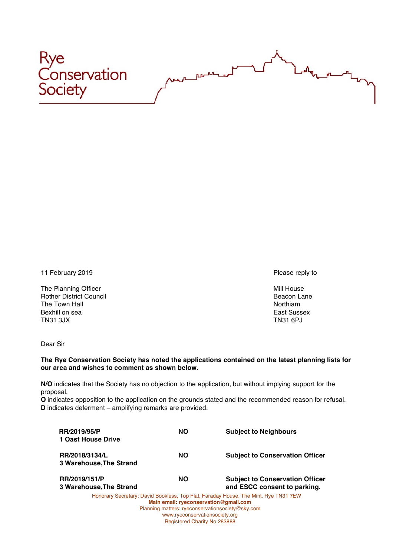

11 February 2019 **Please reply to** 

The Planning Officer and the Second Land Control of the Second Land Control of the Mill House Rother District Council and Control of the Mill House Beacon Lane **Rother District Council** The Town Hall Northiam and the Town Hall Northiam and the Town Hall Northiam and the Northiam and Northiam and Northiam and Northiam and Northiam and Northiam and Northiam and Northiam and Northiam and Northiam and Northia Bexhill on sea East Sussex TN31 3JX TN31 6PJ

Dear Sir

## **The Rye Conservation Society has noted the applications contained on the latest planning lists for our area and wishes to comment as shown below.**

**N/O** indicates that the Society has no objection to the application, but without implying support for the proposal.

**O** indicates opposition to the application on the grounds stated and the recommended reason for refusal. **D** indicates deferment – amplifying remarks are provided.

| <b>RR/2019/95/P</b>     | <b>NO</b> | <b>Subject to Neighbours</b>                                                        |
|-------------------------|-----------|-------------------------------------------------------------------------------------|
| 1 Oast House Drive      |           |                                                                                     |
| RR/2018/3134/L          | <b>NO</b> | <b>Subject to Conservation Officer</b>                                              |
| 3 Warehouse, The Strand |           |                                                                                     |
| RR/2019/151/P           | <b>NO</b> | <b>Subject to Conservation Officer</b>                                              |
| 3 Warehouse, The Strand |           | and ESCC consent to parking.                                                        |
|                         |           | Honorary Secretary: David Bookless, Top Flat, Faraday House, The Mint, Rye TN31 7EW |

**Main email: ryeconservation@gmail.com** Planning matters: ryeconservationsociety@sky.com www.ryeconservationsociety.org Registered Charity No 283888